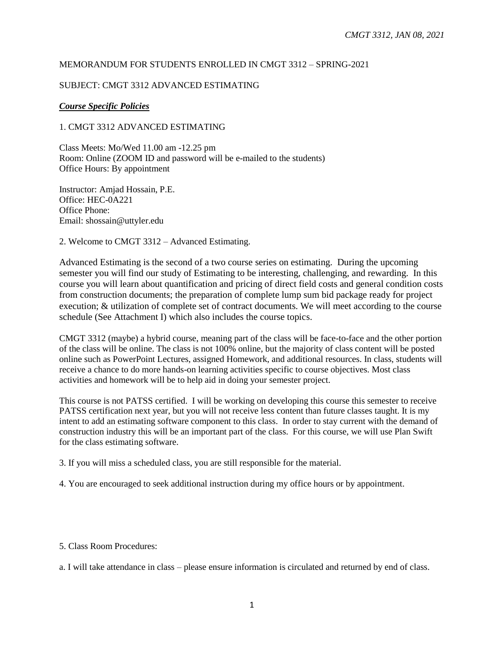### MEMORANDUM FOR STUDENTS ENROLLED IN CMGT 3312 – SPRING-2021

# SUBJECT: CMGT 3312 ADVANCED ESTIMATING

### *Course Specific Policies*

# 1. CMGT 3312 ADVANCED ESTIMATING

Class Meets: Mo/Wed 11.00 am -12.25 pm Room: Online (ZOOM ID and password will be e-mailed to the students) Office Hours: By appointment

Instructor: Amjad Hossain, P.E. Office: HEC-0A221 Office Phone: Email: shossain@uttyler.edu

2. Welcome to CMGT 3312 – Advanced Estimating.

Advanced Estimating is the second of a two course series on estimating. During the upcoming semester you will find our study of Estimating to be interesting, challenging, and rewarding. In this course you will learn about quantification and pricing of direct field costs and general condition costs from construction documents; the preparation of complete lump sum bid package ready for project execution; & utilization of complete set of contract documents. We will meet according to the course schedule (See Attachment I) which also includes the course topics.

CMGT 3312 (maybe) a hybrid course, meaning part of the class will be face-to-face and the other portion of the class will be online. The class is not 100% online, but the majority of class content will be posted online such as PowerPoint Lectures, assigned Homework, and additional resources. In class, students will receive a chance to do more hands-on learning activities specific to course objectives. Most class activities and homework will be to help aid in doing your semester project.

This course is not PATSS certified. I will be working on developing this course this semester to receive PATSS certification next year, but you will not receive less content than future classes taught. It is my intent to add an estimating software component to this class. In order to stay current with the demand of construction industry this will be an important part of the class. For this course, we will use Plan Swift for the class estimating software.

3. If you will miss a scheduled class, you are still responsible for the material.

4. You are encouraged to seek additional instruction during my office hours or by appointment.

5. Class Room Procedures:

a. I will take attendance in class – please ensure information is circulated and returned by end of class.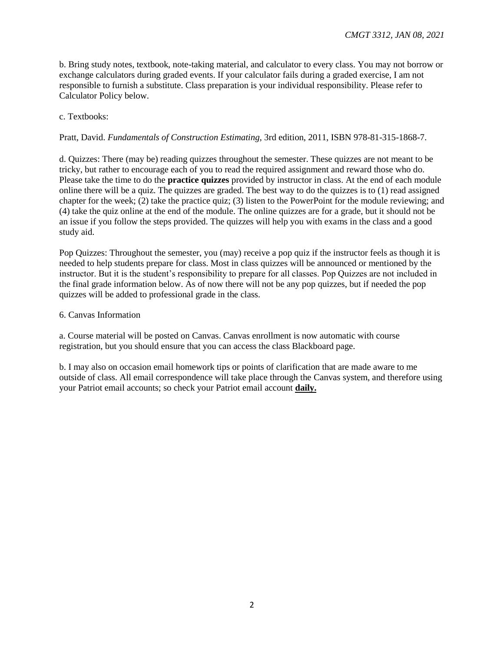b. Bring study notes, textbook, note-taking material, and calculator to every class. You may not borrow or exchange calculators during graded events. If your calculator fails during a graded exercise, I am not responsible to furnish a substitute. Class preparation is your individual responsibility. Please refer to Calculator Policy below.

### c. Textbooks:

### Pratt, David. *Fundamentals of Construction Estimating,* 3rd edition, 2011, ISBN 978-81-315-1868-7.

d. Quizzes: There (may be) reading quizzes throughout the semester. These quizzes are not meant to be tricky, but rather to encourage each of you to read the required assignment and reward those who do. Please take the time to do the **practice quizzes** provided by instructor in class. At the end of each module online there will be a quiz. The quizzes are graded. The best way to do the quizzes is to (1) read assigned chapter for the week; (2) take the practice quiz; (3) listen to the PowerPoint for the module reviewing; and (4) take the quiz online at the end of the module. The online quizzes are for a grade, but it should not be an issue if you follow the steps provided. The quizzes will help you with exams in the class and a good study aid.

Pop Quizzes: Throughout the semester, you (may) receive a pop quiz if the instructor feels as though it is needed to help students prepare for class. Most in class quizzes will be announced or mentioned by the instructor. But it is the student's responsibility to prepare for all classes. Pop Quizzes are not included in the final grade information below. As of now there will not be any pop quizzes, but if needed the pop quizzes will be added to professional grade in the class.

#### 6. Canvas Information

a. Course material will be posted on Canvas. Canvas enrollment is now automatic with course registration, but you should ensure that you can access the class Blackboard page.

b. I may also on occasion email homework tips or points of clarification that are made aware to me outside of class. All email correspondence will take place through the Canvas system, and therefore using your Patriot email accounts; so check your Patriot email account **daily.**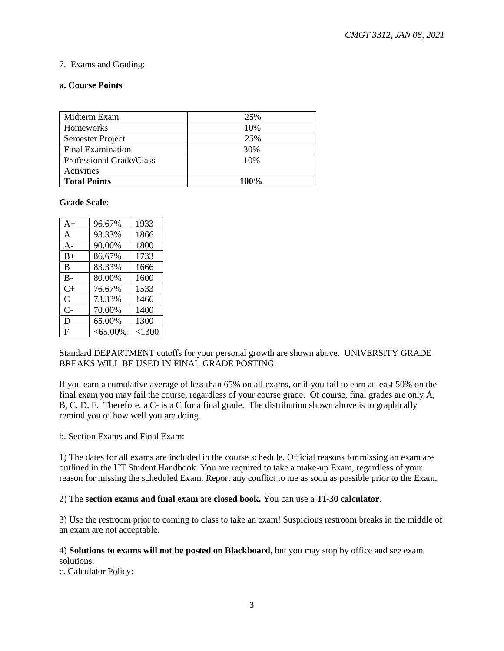### 7. Exams and Grading:

### **a. Course Points**

| <b>Total Points</b>      | $100\%$ |
|--------------------------|---------|
| Activities               |         |
| Professional Grade/Class | 10%     |
| <b>Final Examination</b> | 30%     |
| Semester Project         | 25%     |
| Homeworks                | 10%     |
| Midterm Exam             | 25%     |

### **Grade Scale**:

| $A+$         | 96.67%     | 1933   |
|--------------|------------|--------|
| A            | 93.33%     | 1866   |
| $A -$        | 90.00%     | 1800   |
| $B+$         | 86.67%     | 1733   |
| B            | 83.33%     | 1666   |
| $B -$        | 80.00%     | 1600   |
| $C+$         | 76.67%     | 1533   |
| $\mathsf{C}$ | 73.33%     | 1466   |
| $C-$         | 70.00%     | 1400   |
| D            | 65.00%     | 1300   |
| F            | $<$ 65.00% | < 1300 |

Standard DEPARTMENT cutoffs for your personal growth are shown above. UNIVERSITY GRADE BREAKS WILL BE USED IN FINAL GRADE POSTING.

If you earn a cumulative average of less than 65% on all exams, or if you fail to earn at least 50% on the final exam you may fail the course, regardless of your course grade. Of course, final grades are only A, B, C, D, F. Therefore, a C- is a C for a final grade. The distribution shown above is to graphically remind you of how well you are doing.

b. Section Exams and Final Exam:

1) The dates for all exams are included in the course schedule. Official reasons for missing an exam are outlined in the UT Student Handbook. You are required to take a make-up Exam, regardless of your reason for missing the scheduled Exam. Report any conflict to me as soon as possible prior to the Exam.

2) The **section exams and final exam** are **closed book.** You can use a **TI-30 calculator**.

3) Use the restroom prior to coming to class to take an exam! Suspicious restroom breaks in the middle of an exam are not acceptable.

4) **Solutions to exams will not be posted on Blackboard**, but you may stop by office and see exam solutions.

c. Calculator Policy: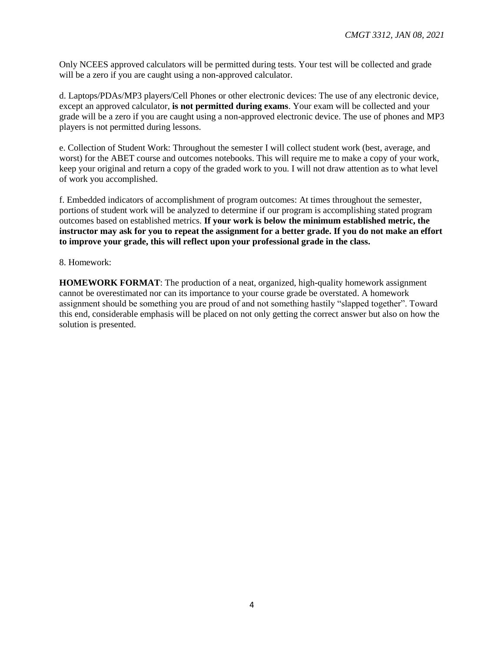Only NCEES approved calculators will be permitted during tests. Your test will be collected and grade will be a zero if you are caught using a non-approved calculator.

d. Laptops/PDAs/MP3 players/Cell Phones or other electronic devices: The use of any electronic device, except an approved calculator, **is not permitted during exams**. Your exam will be collected and your grade will be a zero if you are caught using a non-approved electronic device. The use of phones and MP3 players is not permitted during lessons.

e. Collection of Student Work: Throughout the semester I will collect student work (best, average, and worst) for the ABET course and outcomes notebooks. This will require me to make a copy of your work, keep your original and return a copy of the graded work to you. I will not draw attention as to what level of work you accomplished.

f. Embedded indicators of accomplishment of program outcomes: At times throughout the semester, portions of student work will be analyzed to determine if our program is accomplishing stated program outcomes based on established metrics. **If your work is below the minimum established metric, the instructor may ask for you to repeat the assignment for a better grade. If you do not make an effort to improve your grade, this will reflect upon your professional grade in the class.** 

8. Homework:

**HOMEWORK FORMAT**: The production of a neat, organized, high-quality homework assignment cannot be overestimated nor can its importance to your course grade be overstated. A homework assignment should be something you are proud of and not something hastily "slapped together". Toward this end, considerable emphasis will be placed on not only getting the correct answer but also on how the solution is presented.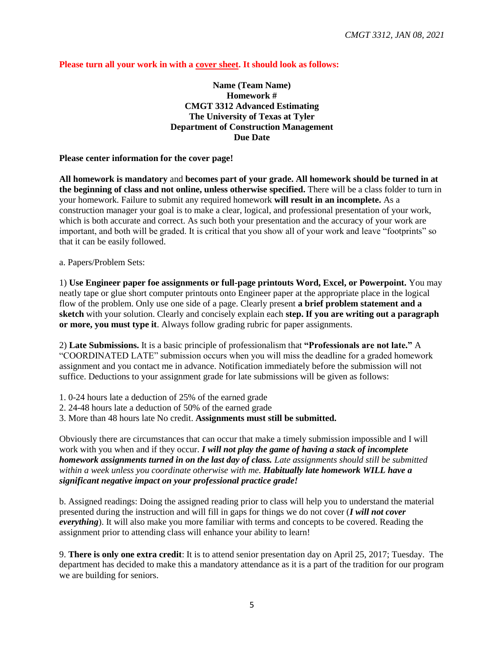### **Please turn all your work in with a cover sheet. It should look as follows:**

**Name (Team Name) Homework # CMGT 3312 Advanced Estimating The University of Texas at Tyler Department of Construction Management Due Date**

**Please center information for the cover page!** 

**All homework is mandatory** and **becomes part of your grade. All homework should be turned in at the beginning of class and not online, unless otherwise specified.** There will be a class folder to turn in your homework. Failure to submit any required homework **will result in an incomplete.** As a construction manager your goal is to make a clear, logical, and professional presentation of your work, which is both accurate and correct. As such both your presentation and the accuracy of your work are important, and both will be graded. It is critical that you show all of your work and leave "footprints" so that it can be easily followed.

a. Papers/Problem Sets:

1) **Use Engineer paper foe assignments or full-page printouts Word, Excel, or Powerpoint.** You may neatly tape or glue short computer printouts onto Engineer paper at the appropriate place in the logical flow of the problem. Only use one side of a page. Clearly present **a brief problem statement and a sketch** with your solution. Clearly and concisely explain each **step. If you are writing out a paragraph or more, you must type it**. Always follow grading rubric for paper assignments.

2) **Late Submissions.** It is a basic principle of professionalism that **"Professionals are not late."** A "COORDINATED LATE" submission occurs when you will miss the deadline for a graded homework assignment and you contact me in advance. Notification immediately before the submission will not suffice. Deductions to your assignment grade for late submissions will be given as follows:

- 1. 0-24 hours late a deduction of 25% of the earned grade
- 2. 24-48 hours late a deduction of 50% of the earned grade

3. More than 48 hours late No credit. **Assignments must still be submitted.**

Obviously there are circumstances that can occur that make a timely submission impossible and I will work with you when and if they occur. *I will not play the game of having a stack of incomplete homework assignments turned in on the last day of class. Late assignments should still be submitted within a week unless you coordinate otherwise with me. Habitually late homework WILL have a significant negative impact on your professional practice grade!* 

b. Assigned readings: Doing the assigned reading prior to class will help you to understand the material presented during the instruction and will fill in gaps for things we do not cover (*I will not cover everything*). It will also make you more familiar with terms and concepts to be covered. Reading the assignment prior to attending class will enhance your ability to learn!

9. **There is only one extra credit**: It is to attend senior presentation day on April 25, 2017; Tuesday. The department has decided to make this a mandatory attendance as it is a part of the tradition for our program we are building for seniors.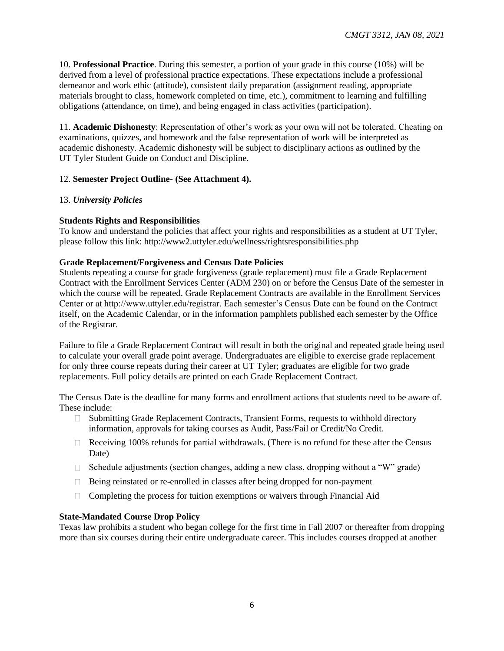10. **Professional Practice**. During this semester, a portion of your grade in this course (10%) will be derived from a level of professional practice expectations. These expectations include a professional demeanor and work ethic (attitude), consistent daily preparation (assignment reading, appropriate materials brought to class, homework completed on time, etc.), commitment to learning and fulfilling obligations (attendance, on time), and being engaged in class activities (participation).

11. **Academic Dishonesty**: Representation of other's work as your own will not be tolerated. Cheating on examinations, quizzes, and homework and the false representation of work will be interpreted as academic dishonesty. Academic dishonesty will be subject to disciplinary actions as outlined by the UT Tyler Student Guide on Conduct and Discipline.

### 12. **Semester Project Outline- (See Attachment 4).**

### 13. *University Policies*

### **Students Rights and Responsibilities**

To know and understand the policies that affect your rights and responsibilities as a student at UT Tyler, please follow this link: http://www2.uttyler.edu/wellness/rightsresponsibilities.php

# **Grade Replacement/Forgiveness and Census Date Policies**

Students repeating a course for grade forgiveness (grade replacement) must file a Grade Replacement Contract with the Enrollment Services Center (ADM 230) on or before the Census Date of the semester in which the course will be repeated. Grade Replacement Contracts are available in the Enrollment Services Center or at http://www.uttyler.edu/registrar. Each semester's Census Date can be found on the Contract itself, on the Academic Calendar, or in the information pamphlets published each semester by the Office of the Registrar.

Failure to file a Grade Replacement Contract will result in both the original and repeated grade being used to calculate your overall grade point average. Undergraduates are eligible to exercise grade replacement for only three course repeats during their career at UT Tyler; graduates are eligible for two grade replacements. Full policy details are printed on each Grade Replacement Contract.

The Census Date is the deadline for many forms and enrollment actions that students need to be aware of. These include:

- $\Box$  Submitting Grade Replacement Contracts, Transient Forms, requests to withhold directory information, approvals for taking courses as Audit, Pass/Fail or Credit/No Credit.
- $\Box$  Receiving 100% refunds for partial withdrawals. (There is no refund for these after the Census Date)
- $\Box$  Schedule adjustments (section changes, adding a new class, dropping without a "W" grade)
- $\Box$  Being reinstated or re-enrolled in classes after being dropped for non-payment
- $\Box$  Completing the process for tuition exemptions or waivers through Financial Aid

### **State-Mandated Course Drop Policy**

Texas law prohibits a student who began college for the first time in Fall 2007 or thereafter from dropping more than six courses during their entire undergraduate career. This includes courses dropped at another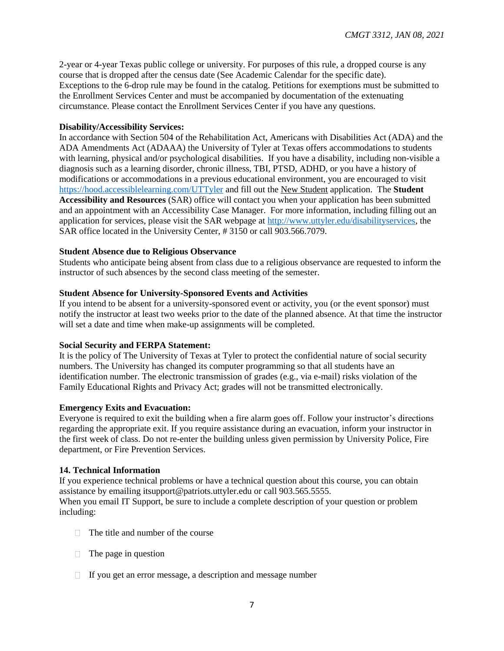2-year or 4-year Texas public college or university. For purposes of this rule, a dropped course is any course that is dropped after the census date (See Academic Calendar for the specific date). Exceptions to the 6-drop rule may be found in the catalog. Petitions for exemptions must be submitted to the Enrollment Services Center and must be accompanied by documentation of the extenuating circumstance. Please contact the Enrollment Services Center if you have any questions.

### **Disability/Accessibility Services:**

In accordance with Section 504 of the Rehabilitation Act, Americans with Disabilities Act (ADA) and the ADA Amendments Act (ADAAA) the University of Tyler at Texas offers accommodations to students with learning, physical and/or psychological disabilities. If you have a disability, including non-visible a diagnosis such as a learning disorder, chronic illness, TBI, PTSD, ADHD, or you have a history of modifications or accommodations in a previous educational environment, you are encouraged to visit <https://hood.accessiblelearning.com/UTTyler> and fill out the New Student application. The **Student Accessibility and Resources** (SAR) office will contact you when your application has been submitted and an appointment with an Accessibility Case Manager. For more information, including filling out an application for services, please visit the SAR webpage at [http://www.uttyler.edu/disabilityservices,](http://www.uttyler.edu/disabilityservices) the SAR office located in the University Center, # 3150 or call 903.566.7079.

# **Student Absence due to Religious Observance**

Students who anticipate being absent from class due to a religious observance are requested to inform the instructor of such absences by the second class meeting of the semester.

# **Student Absence for University-Sponsored Events and Activities**

If you intend to be absent for a university-sponsored event or activity, you (or the event sponsor) must notify the instructor at least two weeks prior to the date of the planned absence. At that time the instructor will set a date and time when make-up assignments will be completed.

### **Social Security and FERPA Statement:**

It is the policy of The University of Texas at Tyler to protect the confidential nature of social security numbers. The University has changed its computer programming so that all students have an identification number. The electronic transmission of grades (e.g., via e-mail) risks violation of the Family Educational Rights and Privacy Act; grades will not be transmitted electronically.

### **Emergency Exits and Evacuation:**

Everyone is required to exit the building when a fire alarm goes off. Follow your instructor's directions regarding the appropriate exit. If you require assistance during an evacuation, inform your instructor in the first week of class. Do not re-enter the building unless given permission by University Police, Fire department, or Fire Prevention Services.

### **14. Technical Information**

If you experience technical problems or have a technical question about this course, you can obtain assistance by emailing itsupport@patriots.uttyler.edu or call 903.565.5555.

When you email IT Support, be sure to include a complete description of your question or problem including:

- $\Box$  The title and number of the course
- $\Box$  The page in question
- $\Box$  If you get an error message, a description and message number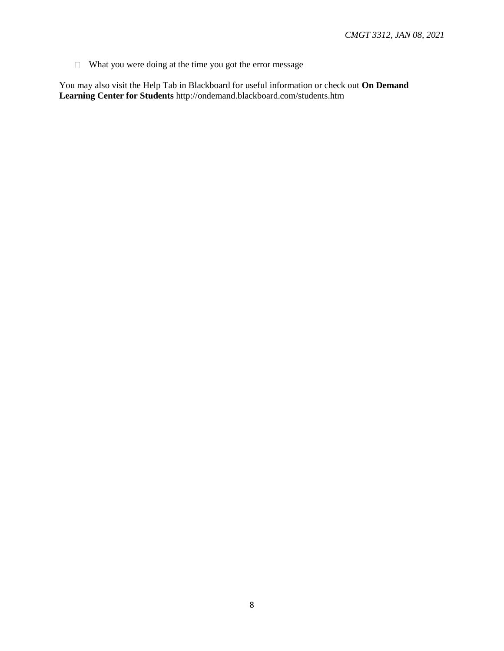What you were doing at the time you got the error message

You may also visit the Help Tab in Blackboard for useful information or check out **On Demand Learning Center for Students** http://ondemand.blackboard.com/students.htm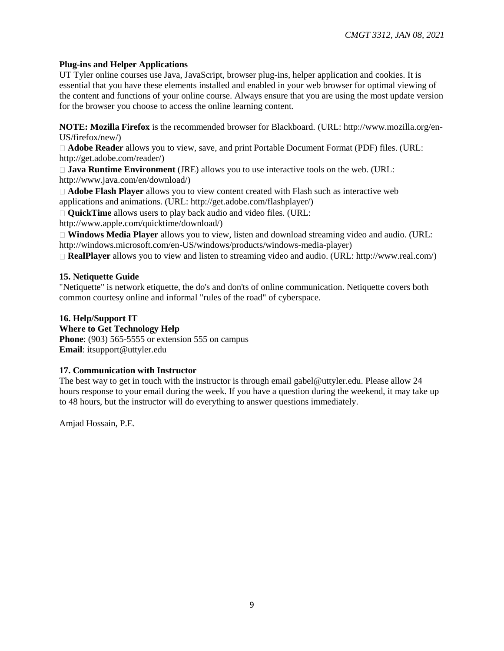# **Plug-ins and Helper Applications**

UT Tyler online courses use Java, JavaScript, browser plug-ins, helper application and cookies. It is essential that you have these elements installed and enabled in your web browser for optimal viewing of the content and functions of your online course. Always ensure that you are using the most update version for the browser you choose to access the online learning content.

**NOTE: Mozilla Firefox** is the recommended browser for Blackboard. (URL: http://www.mozilla.org/en-US/firefox/new/)

**Adobe Reader** allows you to view, save, and print Portable Document Format (PDF) files. (URL: http://get.adobe.com/reader/)

**Java Runtime Environment** (JRE) allows you to use interactive tools on the web. (URL: http://www.java.com/en/download/)

**Adobe Flash Player** allows you to view content created with Flash such as interactive web applications and animations. (URL: http://get.adobe.com/flashplayer/)

**QuickTime** allows users to play back audio and video files. (URL:

http://www.apple.com/quicktime/download/)

**Windows Media Player** allows you to view, listen and download streaming video and audio. (URL: http://windows.microsoft.com/en-US/windows/products/windows-media-player)

**RealPlayer** allows you to view and listen to streaming video and audio. (URL: http://www.real.com/)

### **15. Netiquette Guide**

"Netiquette" is network etiquette, the do's and don'ts of online communication. Netiquette covers both common courtesy online and informal "rules of the road" of cyberspace.

### **16. Help/Support IT**

### **Where to Get Technology Help**

**Phone**: (903) 565-5555 or extension 555 on campus **Email**: itsupport@uttyler.edu

### **17. Communication with Instructor**

The best way to get in touch with the instructor is through email gabel@uttyler.edu. Please allow 24 hours response to your email during the week. If you have a question during the weekend, it may take up to 48 hours, but the instructor will do everything to answer questions immediately.

Amjad Hossain, P.E.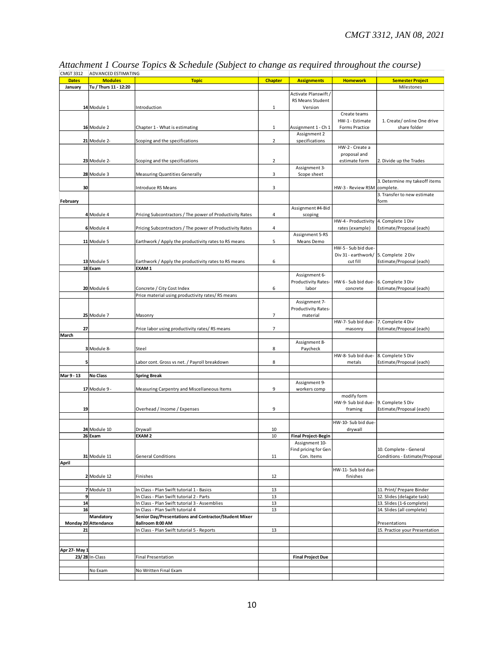$\overline{\phantom{a}}$ 

| CIVIOI 331Z<br><b>Dates</b> | <b>ADVANCED LOTINATING</b><br><b>Modules</b> | <b>Topic</b>                                             | <b>Chapter</b>   | <b>Assignments</b>                 | <b>Homework</b>             | <b>Semester Project</b>                                  |
|-----------------------------|----------------------------------------------|----------------------------------------------------------|------------------|------------------------------------|-----------------------------|----------------------------------------------------------|
| January                     | Tu / Thurs 11 - 12:20                        |                                                          |                  |                                    |                             | Milestones                                               |
|                             |                                              |                                                          |                  | Activate Planswift /               |                             |                                                          |
|                             |                                              |                                                          |                  | RS Means Student                   |                             |                                                          |
|                             | 14 Module 1                                  | Introduction                                             | $\mathbf 1$      | Version                            |                             |                                                          |
|                             |                                              |                                                          |                  |                                    | Create teams                |                                                          |
|                             |                                              |                                                          |                  |                                    | HW-1 - Estimate             | 1. Create/ online One drive                              |
|                             | 16 Module 2                                  | Chapter 1 - What is estimating                           | $\,1\,$          | Assignment 1 - Ch 1                | Forms Practice              | share folder                                             |
|                             |                                              |                                                          |                  | Assignment 2                       |                             |                                                          |
|                             | 21 Module 2-                                 | Scoping and the specifications                           | $\mathbf 2$      | specifications                     |                             |                                                          |
|                             |                                              |                                                          |                  |                                    | HW-2 - Create a             |                                                          |
|                             |                                              |                                                          |                  |                                    | proposal and                |                                                          |
|                             | 23 Module 2-                                 | Scoping and the specifications                           | $\mathbf 2$      |                                    | estimate form               | 2. Divide up the Trades                                  |
|                             |                                              |                                                          |                  | Assignment 3-                      |                             |                                                          |
|                             | 28 Module 3                                  | <b>Measuring Quantities Generally</b>                    | 3                | Scope sheet                        |                             |                                                          |
|                             |                                              |                                                          |                  |                                    |                             | 3. Determine my takeoff items                            |
| 30                          |                                              | Introduce RS Means                                       | 3                |                                    | HW-3 - Review RSM complete. |                                                          |
| February                    |                                              |                                                          |                  |                                    |                             | 3. Transfer to new estimate<br>form                      |
|                             |                                              |                                                          |                  | Assignment #4-Bid                  |                             |                                                          |
|                             | 4 Module 4                                   | Pricing Subcontractors / The power of Productivity Rates | $\pmb{4}$        | scoping                            |                             |                                                          |
|                             |                                              |                                                          |                  |                                    | HW-4 - Productivity         | 4. Complete 1 Div                                        |
|                             | 6 Module 4                                   | Pricing Subcontractors / The power of Productivity Rates | 4                |                                    | rates (example)             | Estimate/Proposal (each)                                 |
|                             |                                              |                                                          |                  | Assignment 5-RS                    |                             |                                                          |
|                             | 11 Module 5                                  | Earthwork / Apply the productivity rates to RS means     | 5                | Means Demo                         |                             |                                                          |
|                             |                                              |                                                          |                  |                                    | HW-5 - Sub bid due-         |                                                          |
|                             |                                              |                                                          |                  |                                    | Div 31 - earthwork/         | 5. Complete 2 Div                                        |
|                             | 13 Module 5                                  | Earthwork / Apply the productivity rates to RS means     | 6                |                                    | cut fill                    | Estimate/Proposal (each)                                 |
|                             | 18 Exam                                      | EXAM1                                                    |                  |                                    |                             |                                                          |
|                             |                                              |                                                          |                  | Assignment 6-                      |                             |                                                          |
|                             |                                              |                                                          |                  | Productivity Rates-                | HW 6 - Sub bid due-         | 6. Complete 3 Div                                        |
|                             | 20 Module 6                                  | Concrete / City Cost Index                               | 6                | labor                              | concrete                    | Estimate/Proposal (each)                                 |
|                             |                                              | Price material using productivity rates/RS means         |                  |                                    |                             |                                                          |
|                             |                                              |                                                          |                  | Assignment 7-                      |                             |                                                          |
|                             |                                              |                                                          |                  | Productivity Rates-                |                             |                                                          |
|                             | 25 Module 7                                  | Masonry                                                  | $\boldsymbol{7}$ | material                           |                             |                                                          |
|                             |                                              |                                                          |                  |                                    | HW-7- Sub bid due-          | 7. Complete 4 Div                                        |
| 27                          |                                              | Price labor using productivity rates/RS means            | $\boldsymbol{7}$ |                                    | masonry                     | Estimate/Proposal (each)                                 |
| March                       |                                              |                                                          |                  |                                    |                             |                                                          |
|                             | 3 Module 8-                                  | Steel                                                    | 8                | Assignment 8-<br>Paycheck          |                             |                                                          |
|                             |                                              |                                                          |                  |                                    | HW-8- Sub bid due-          | 8. Complete 5 Div                                        |
| 5 <sup>1</sup>              |                                              | Labor cont. Gross vs net. / Payroll breakdown            | 8                |                                    | metals                      | Estimate/Proposal (each)                                 |
|                             |                                              |                                                          |                  |                                    |                             |                                                          |
| Mar 9 - 13                  | <b>No Class</b>                              | <b>Spring Break</b>                                      |                  |                                    |                             |                                                          |
|                             |                                              |                                                          |                  | Assignment 9-                      |                             |                                                          |
|                             | 17 Module 9 -                                | Measuring Carpentry and Miscellaneous Items              | 9                | workers comp                       |                             |                                                          |
|                             |                                              |                                                          |                  |                                    | modify form                 |                                                          |
|                             |                                              |                                                          |                  |                                    | HW-9- Sub bid due-          | 9. Complete 5 Div                                        |
| 19                          |                                              | Overhead / Income / Expenses                             | 9                |                                    | framing                     | Estimate/Proposal (each)                                 |
|                             |                                              |                                                          |                  |                                    |                             |                                                          |
|                             |                                              |                                                          |                  |                                    | HW-10- Sub bid due-         |                                                          |
|                             | 24 Module 10                                 | Drywall                                                  | 10               |                                    | drywall                     |                                                          |
|                             | 26 Exam                                      | <b>EXAM2</b>                                             | 10               | <b>Final Project-Begin</b>         |                             |                                                          |
|                             |                                              |                                                          |                  | Assignment 10-                     |                             |                                                          |
|                             | 31 Module 11                                 | <b>General Conditions</b>                                | 11               | Find pricing for Gen<br>Con. Items |                             | 10. Complete - General<br>Conditions - Estimate/Proposal |
|                             |                                              |                                                          |                  |                                    |                             |                                                          |
| April                       |                                              |                                                          |                  |                                    | HW-11- Sub bid due-         |                                                          |
|                             | 2 Module 12                                  | Finishes                                                 | 12               |                                    | finishes                    |                                                          |
|                             |                                              |                                                          |                  |                                    |                             |                                                          |
|                             | 7 Module 13                                  | In Class - Plan Swift tutorial 1 - Basics                | 13               |                                    |                             | 11. Print/ Prepare Binder                                |
| 9                           |                                              | In Class - Plan Swift tutorial 2 - Parts                 | 13               |                                    |                             | 12. Slides (delagate task)                               |
| 14                          |                                              | In Class - Plan Swift tutorial 3 - Assemblies            | 13               |                                    |                             | 13. Slides (1-6 complete)                                |
| 16                          |                                              | In Class - Plan Swift tutorial 4                         | 13               |                                    |                             | 14. Slides (all complete)                                |
|                             | Mandatory                                    | Senior Day/Presentations and Contractor/Student Mixer    |                  |                                    |                             |                                                          |
|                             | Monday 20 Attendance                         | Ballroom 8:00 AM                                         |                  |                                    |                             | Presentations                                            |
| 21                          |                                              | In Class - Plan Swift tutorial 5 - Reports               | 13               |                                    |                             | 15. Practice your Presentation                           |
|                             |                                              |                                                          |                  |                                    |                             |                                                          |
|                             |                                              |                                                          |                  |                                    |                             |                                                          |
| Apr 27- May 1               |                                              |                                                          |                  |                                    |                             |                                                          |
|                             | 23/28 In-Class                               | <b>Final Presentation</b>                                |                  | <b>Final Project Due</b>           |                             |                                                          |
|                             |                                              |                                                          |                  |                                    |                             |                                                          |
|                             | No Exam                                      | No Written Final Exam                                    |                  |                                    |                             |                                                          |
|                             |                                              |                                                          |                  |                                    |                             |                                                          |

# *Attachment 1 Course Topics & Schedule (Subject to change as required throughout the course)*<br>CMGT 3312 ADVANCED ESTIMATING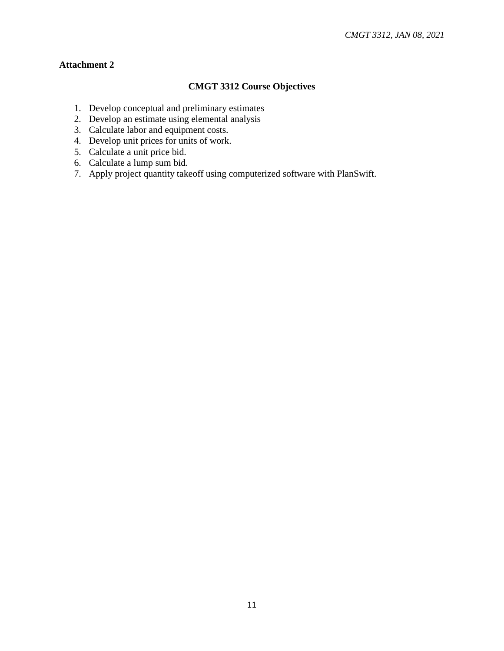# **Attachment 2**

# **CMGT 3312 Course Objectives**

- 1. Develop conceptual and preliminary estimates
- 2. Develop an estimate using elemental analysis
- 3. Calculate labor and equipment costs.
- 4. Develop unit prices for units of work.
- 5. Calculate a unit price bid.
- 6. Calculate a lump sum bid.
- 7. Apply project quantity takeoff using computerized software with PlanSwift.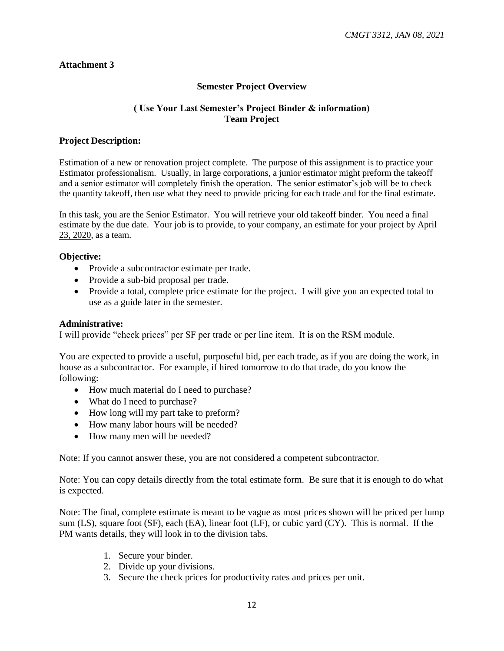# **Attachment 3**

# **Semester Project Overview**

### **( Use Your Last Semester's Project Binder & information) Team Project**

### **Project Description:**

Estimation of a new or renovation project complete. The purpose of this assignment is to practice your Estimator professionalism. Usually, in large corporations, a junior estimator might preform the takeoff and a senior estimator will completely finish the operation. The senior estimator's job will be to check the quantity takeoff, then use what they need to provide pricing for each trade and for the final estimate.

In this task, you are the Senior Estimator. You will retrieve your old takeoff binder. You need a final estimate by the due date. Your job is to provide, to your company, an estimate for your project by April 23, 2020, as a team.

### **Objective:**

- Provide a subcontractor estimate per trade.
- Provide a sub-bid proposal per trade.
- Provide a total, complete price estimate for the project. I will give you an expected total to use as a guide later in the semester.

### **Administrative:**

I will provide "check prices" per SF per trade or per line item. It is on the RSM module.

You are expected to provide a useful, purposeful bid, per each trade, as if you are doing the work, in house as a subcontractor. For example, if hired tomorrow to do that trade, do you know the following:

- How much material do I need to purchase?
- What do I need to purchase?
- How long will my part take to preform?
- How many labor hours will be needed?
- How many men will be needed?

Note: If you cannot answer these, you are not considered a competent subcontractor.

Note: You can copy details directly from the total estimate form. Be sure that it is enough to do what is expected.

Note: The final, complete estimate is meant to be vague as most prices shown will be priced per lump sum (LS), square foot (SF), each (EA), linear foot (LF), or cubic yard (CY). This is normal. If the PM wants details, they will look in to the division tabs.

- 1. Secure your binder.
- 2. Divide up your divisions.
- 3. Secure the check prices for productivity rates and prices per unit.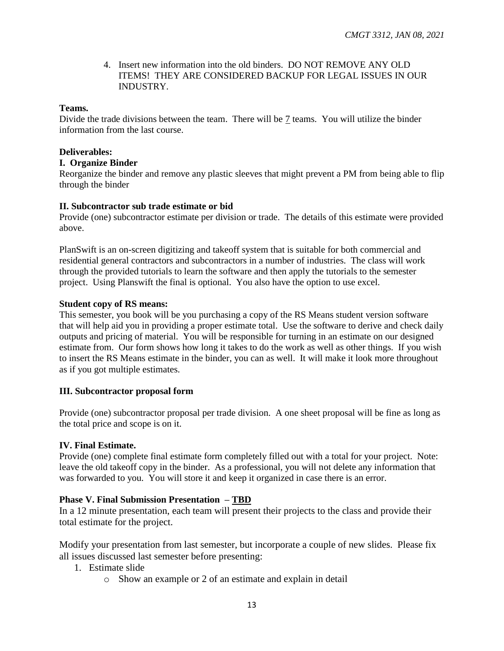4. Insert new information into the old binders. DO NOT REMOVE ANY OLD ITEMS! THEY ARE CONSIDERED BACKUP FOR LEGAL ISSUES IN OUR INDUSTRY.

### **Teams.**

Divide the trade divisions between the team. There will be 7 teams. You will utilize the binder information from the last course.

### **Deliverables:**

### **I. Organize Binder**

Reorganize the binder and remove any plastic sleeves that might prevent a PM from being able to flip through the binder

### **II. Subcontractor sub trade estimate or bid**

Provide (one) subcontractor estimate per division or trade. The details of this estimate were provided above.

PlanSwift is an on-screen digitizing and takeoff system that is suitable for both commercial and residential general contractors and subcontractors in a number of industries. The class will work through the provided tutorials to learn the software and then apply the tutorials to the semester project. Using Planswift the final is optional. You also have the option to use excel.

### **Student copy of RS means:**

This semester, you book will be you purchasing a copy of the RS Means student version software that will help aid you in providing a proper estimate total. Use the software to derive and check daily outputs and pricing of material. You will be responsible for turning in an estimate on our designed estimate from. Our form shows how long it takes to do the work as well as other things. If you wish to insert the RS Means estimate in the binder, you can as well. It will make it look more throughout as if you got multiple estimates.

### **III. Subcontractor proposal form**

Provide (one) subcontractor proposal per trade division. A one sheet proposal will be fine as long as the total price and scope is on it.

### **IV. Final Estimate.**

Provide (one) complete final estimate form completely filled out with a total for your project. Note: leave the old takeoff copy in the binder. As a professional, you will not delete any information that was forwarded to you. You will store it and keep it organized in case there is an error.

### **Phase V. Final Submission Presentation – TBD**

In a 12 minute presentation, each team will present their projects to the class and provide their total estimate for the project.

Modify your presentation from last semester, but incorporate a couple of new slides. Please fix all issues discussed last semester before presenting:

- 1. Estimate slide
	- o Show an example or 2 of an estimate and explain in detail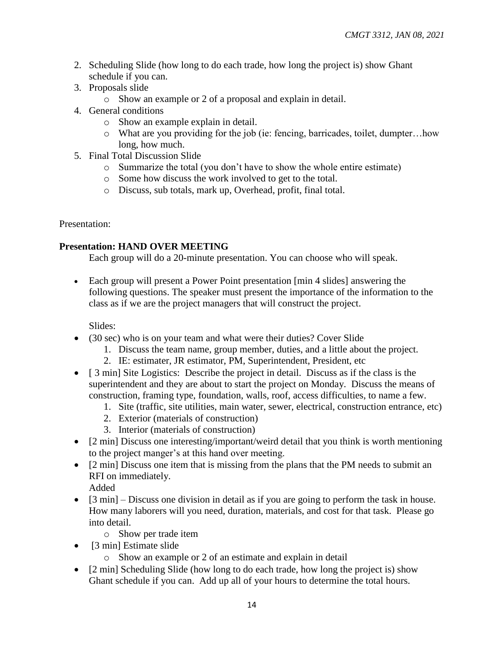- 2. Scheduling Slide (how long to do each trade, how long the project is) show Ghant schedule if you can.
- 3. Proposals slide
	- o Show an example or 2 of a proposal and explain in detail.
- 4. General conditions
	- o Show an example explain in detail.
	- o What are you providing for the job (ie: fencing, barricades, toilet, dumpter…how long, how much.
- 5. Final Total Discussion Slide
	- o Summarize the total (you don't have to show the whole entire estimate)
	- o Some how discuss the work involved to get to the total.
	- o Discuss, sub totals, mark up, Overhead, profit, final total.

# Presentation:

# **Presentation: HAND OVER MEETING**

Each group will do a 20-minute presentation. You can choose who will speak.

• Each group will present a Power Point presentation [min 4 slides] answering the following questions. The speaker must present the importance of the information to the class as if we are the project managers that will construct the project.

Slides:

- (30 sec) who is on your team and what were their duties? Cover Slide
	- 1. Discuss the team name, group member, duties, and a little about the project.
		- 2. IE: estimater, JR estimator, PM, Superintendent, President, etc
- [ 3 min] Site Logistics: Describe the project in detail. Discuss as if the class is the superintendent and they are about to start the project on Monday. Discuss the means of construction, framing type, foundation, walls, roof, access difficulties, to name a few.
	- 1. Site (traffic, site utilities, main water, sewer, electrical, construction entrance, etc)
	- 2. Exterior (materials of construction)
	- 3. Interior (materials of construction)
- [2 min] Discuss one interesting/important/weird detail that you think is worth mentioning to the project manger's at this hand over meeting.
- [2 min] Discuss one item that is missing from the plans that the PM needs to submit an RFI on immediately.
	- Added
- [3 min] Discuss one division in detail as if you are going to perform the task in house. How many laborers will you need, duration, materials, and cost for that task. Please go into detail.
	- o Show per trade item
- [3 min] Estimate slide
	- o Show an example or 2 of an estimate and explain in detail
- [2 min] Scheduling Slide (how long to do each trade, how long the project is) show Ghant schedule if you can. Add up all of your hours to determine the total hours.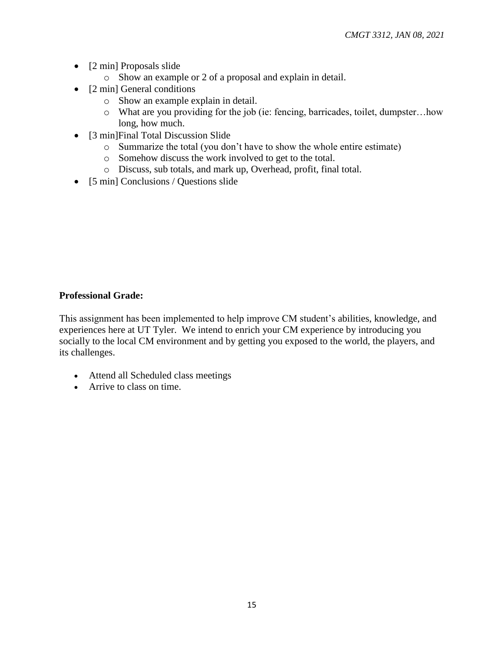- [2 min] Proposals slide
	- o Show an example or 2 of a proposal and explain in detail.
- [2 min] General conditions
	- o Show an example explain in detail.
	- o What are you providing for the job (ie: fencing, barricades, toilet, dumpster…how long, how much.
- [3 min] Final Total Discussion Slide
	- o Summarize the total (you don't have to show the whole entire estimate)
	- o Somehow discuss the work involved to get to the total.
	- o Discuss, sub totals, and mark up, Overhead, profit, final total.
- [5 min] Conclusions / Questions slide

# **Professional Grade:**

This assignment has been implemented to help improve CM student's abilities, knowledge, and experiences here at UT Tyler. We intend to enrich your CM experience by introducing you socially to the local CM environment and by getting you exposed to the world, the players, and its challenges.

- Attend all Scheduled class meetings
- Arrive to class on time.